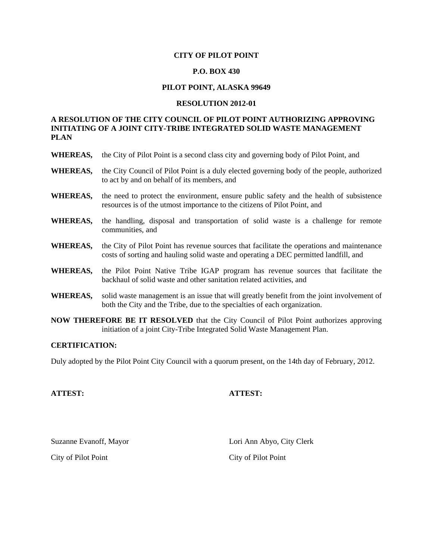#### **CITY OF PILOT POINT**

# **P.O. BOX 430**

# **PILOT POINT, ALASKA 99649**

#### **RESOLUTION 2012-01**

# **A RESOLUTION OF THE CITY COUNCIL OF PILOT POINT AUTHORIZING APPROVING INITIATING OF A JOINT CITY-TRIBE INTEGRATED SOLID WASTE MANAGEMENT PLAN**

- **WHEREAS,** the City of Pilot Point is a second class city and governing body of Pilot Point, and
- **WHEREAS,** the City Council of Pilot Point is a duly elected governing body of the people, authorized to act by and on behalf of its members, and
- **WHEREAS,** the need to protect the environment, ensure public safety and the health of subsistence resources is of the utmost importance to the citizens of Pilot Point, and
- **WHEREAS,** the handling, disposal and transportation of solid waste is a challenge for remote communities, and
- **WHEREAS,** the City of Pilot Point has revenue sources that facilitate the operations and maintenance costs of sorting and hauling solid waste and operating a DEC permitted landfill, and
- **WHEREAS,** the Pilot Point Native Tribe IGAP program has revenue sources that facilitate the backhaul of solid waste and other sanitation related activities, and
- **WHEREAS,** solid waste management is an issue that will greatly benefit from the joint involvement of both the City and the Tribe, due to the specialties of each organization.
- **NOW THEREFORE BE IT RESOLVED** that the City Council of Pilot Point authorizes approving initiation of a joint City-Tribe Integrated Solid Waste Management Plan.

# **CERTIFICATION:**

Duly adopted by the Pilot Point City Council with a quorum present, on the 14th day of February, 2012.

#### **ATTEST: ATTEST:**

City of Pilot Point City of Pilot Point

Suzanne Evanoff, Mayor Lori Ann Abyo, City Clerk